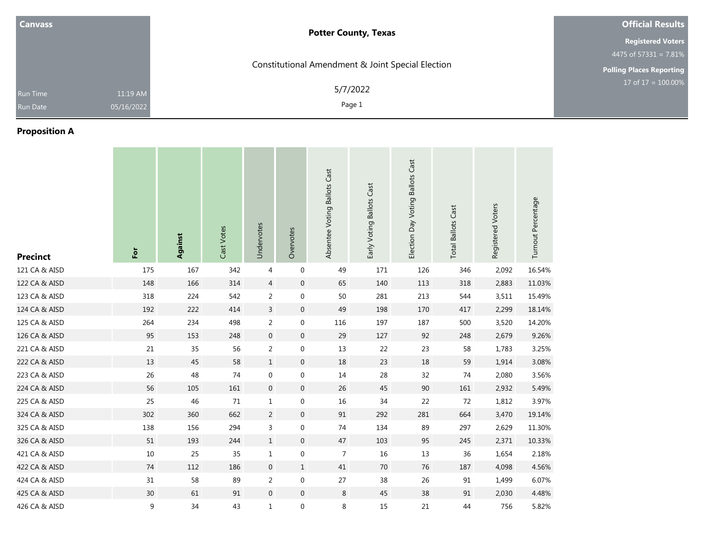| <b>Canvass</b> |            | <b>Potter County, Texas</b>                       | <b>Official Results</b>         |
|----------------|------------|---------------------------------------------------|---------------------------------|
|                |            |                                                   | <b>Registered Voters</b>        |
|                |            |                                                   | 4475 of 57331 = 7.81%           |
|                |            | Constitutional Amendment & Joint Special Election | <b>Polling Places Reporting</b> |
| Run Time       | 11:19 AM   | 5/7/2022                                          | 17 of $17 = 100.00\%$           |
| Run Date       | 05/16/2022 | Page 1                                            |                                 |

## **Proposition A**

| <b>Precinct</b> | For    | Against | Cast Votes | Undervotes       | Overvotes        | Absentee Voting Ballots Cast | Early Voting Ballots Cast | Election Day Voting Ballots Cast | <b>Total Ballots Cast</b> | Registered Voters | Turnout Percentage |
|-----------------|--------|---------|------------|------------------|------------------|------------------------------|---------------------------|----------------------------------|---------------------------|-------------------|--------------------|
| 121 CA & AISD   | 175    | 167     | 342        | 4                | 0                | 49                           | 171                       | 126                              | 346                       | 2,092             | 16.54%             |
| 122 CA & AISD   | 148    | 166     | 314        | $\overline{4}$   | $\boldsymbol{0}$ | 65                           | 140                       | 113                              | 318                       | 2,883             | 11.03%             |
| 123 CA & AISD   | 318    | 224     | 542        | $\overline{2}$   | $\boldsymbol{0}$ | $50\,$                       | 281                       | 213                              | 544                       | 3,511             | 15.49%             |
| 124 CA & AISD   | 192    | 222     | 414        | $\mathsf{3}$     | $\boldsymbol{0}$ | 49                           | 198                       | 170                              | 417                       | 2,299             | 18.14%             |
| 125 CA & AISD   | 264    | 234     | 498        | $\overline{2}$   | $\boldsymbol{0}$ | 116                          | 197                       | 187                              | 500                       | 3,520             | 14.20%             |
| 126 CA & AISD   | 95     | 153     | 248        | $\mathbf 0$      | $\boldsymbol{0}$ | 29                           | 127                       | 92                               | 248                       | 2,679             | 9.26%              |
| 221 CA & AISD   | 21     | 35      | 56         | $\overline{2}$   | $\boldsymbol{0}$ | 13                           | 22                        | 23                               | 58                        | 1,783             | 3.25%              |
| 222 CA & AISD   | 13     | 45      | 58         | $\mathbf{1}$     | $\boldsymbol{0}$ | 18                           | 23                        | 18                               | 59                        | 1,914             | 3.08%              |
| 223 CA & AISD   | 26     | 48      | 74         | $\boldsymbol{0}$ | $\boldsymbol{0}$ | $14\,$                       | 28                        | 32                               | 74                        | 2,080             | 3.56%              |
| 224 CA & AISD   | 56     | 105     | 161        | $\mathbf 0$      | $\boldsymbol{0}$ | $26\,$                       | 45                        | 90                               | 161                       | 2,932             | 5.49%              |
| 225 CA & AISD   | 25     | 46      | 71         | $\mathbf{1}$     | 0                | $16\,$                       | 34                        | 22                               | 72                        | 1,812             | 3.97%              |
| 324 CA & AISD   | 302    | 360     | 662        | $\overline{a}$   | $\boldsymbol{0}$ | $91\,$                       | 292                       | 281                              | 664                       | 3,470             | 19.14%             |
| 325 CA & AISD   | 138    | 156     | 294        | $\mathsf{3}$     | $\boldsymbol{0}$ | $74\,$                       | 134                       | 89                               | 297                       | 2,629             | 11.30%             |
| 326 CA & AISD   | $51\,$ | 193     | 244        | $\mathbf{1}$     | $\boldsymbol{0}$ | 47                           | 103                       | 95                               | 245                       | 2,371             | 10.33%             |
| 421 CA & AISD   | $10\,$ | 25      | 35         | $\mathbf{1}$     | $\boldsymbol{0}$ | 7                            | 16                        | 13                               | 36                        | 1,654             | 2.18%              |
| 422 CA & AISD   | 74     | 112     | 186        | $\mathbf 0$      | $\mathbf 1$      | $41\,$                       | $70\,$                    | 76                               | 187                       | 4,098             | 4.56%              |
| 424 CA & AISD   | 31     | 58      | 89         | $\overline{2}$   | 0                | 27                           | 38                        | 26                               | 91                        | 1,499             | 6.07%              |
| 425 CA & AISD   | 30     | 61      | 91         | $\mathbf 0$      | $\boldsymbol{0}$ | 8                            | 45                        | 38                               | 91                        | 2,030             | 4.48%              |
| 426 CA & AISD   | 9      | 34      | 43         | $\mathbf{1}$     | 0                | 8                            | 15                        | 21                               | 44                        | 756               | 5.82%              |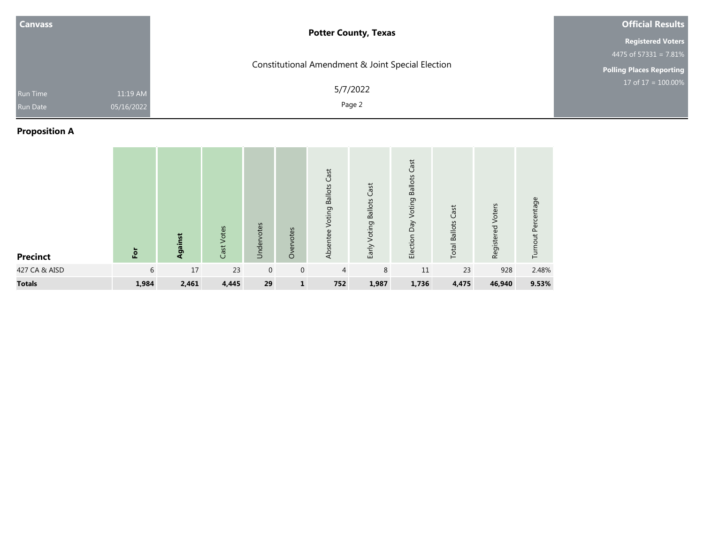| <b>Canvass</b>                                 | <b>Potter County, Texas</b>                       | <b>Official Results</b>         |
|------------------------------------------------|---------------------------------------------------|---------------------------------|
|                                                |                                                   | <b>Registered Voters</b>        |
|                                                |                                                   | 4475 of $57331 = 7.81\%$        |
|                                                | Constitutional Amendment & Joint Special Election | <b>Polling Places Reporting</b> |
| 11:19 AM<br>Run Time<br>05/16/2022<br>Run Date | 5/7/2022<br>Page 2                                | 17 of $17 = 100.00\%$           |

# **Proposition A**

| <b>Precinct</b> | E     | Against | Cast Votes | Undervotes   | Overvotes    | Cast<br><b>Ballots</b><br>Voting<br>Absentee | <b>Ballots Cast</b><br>Voting<br>Early | Cast<br><b>Ballots</b><br>Voting<br>Election Day | Cast<br><b>Total Ballots</b> | Registered Voters | Turnout Percentage |
|-----------------|-------|---------|------------|--------------|--------------|----------------------------------------------|----------------------------------------|--------------------------------------------------|------------------------------|-------------------|--------------------|
| 427 CA & AISD   | 6     | 17      | 23         | $\mathbf{0}$ | $\mathbf 0$  | $\overline{4}$                               | 8                                      | 11                                               | 23                           | 928               | 2.48%              |
| <b>Totals</b>   | 1,984 | 2,461   | 4,445      | 29           | $\mathbf{1}$ | 752                                          | 1,987                                  | 1,736                                            | 4,475                        | 46,940            | 9.53%              |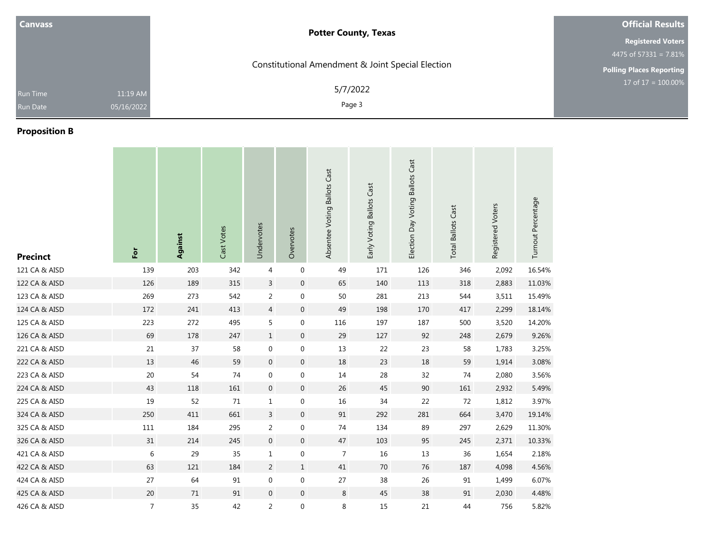| <b>Canvass</b> |            | <b>Potter County, Texas</b>                       | <b>Official Results</b>         |
|----------------|------------|---------------------------------------------------|---------------------------------|
|                |            |                                                   | <b>Registered Voters</b>        |
|                |            |                                                   | 4475 of 57331 = 7.81%           |
|                |            | Constitutional Amendment & Joint Special Election | <b>Polling Places Reporting</b> |
| Run Time       | 11:19 AM   | 5/7/2022                                          | 17 of $17 = 100.00\%$           |
| Run Date       | 05/16/2022 | Page 3                                            |                                 |

## **Proposition B**

| <b>Precinct</b> | For            | <b>Against</b> | Cast Votes | Undervotes       | Overvotes        | Absentee Voting Ballots Cast | Early Voting Ballots Cast | Election Day Voting Ballots Cast | <b>Total Ballots Cast</b> | Registered Voters | Turnout Percentage |
|-----------------|----------------|----------------|------------|------------------|------------------|------------------------------|---------------------------|----------------------------------|---------------------------|-------------------|--------------------|
| 121 CA & AISD   | 139            | 203            | 342        | 4                | $\boldsymbol{0}$ | 49                           | 171                       | 126                              | 346                       | 2,092             | 16.54%             |
| 122 CA & AISD   | 126            | 189            | 315        | $\overline{3}$   | $\boldsymbol{0}$ | 65                           | 140                       | 113                              | 318                       | 2,883             | 11.03%             |
| 123 CA & AISD   | 269            | 273            | 542        | 2                | 0                | 50                           | 281                       | 213                              | 544                       | 3,511             | 15.49%             |
| 124 CA & AISD   | 172            | 241            | 413        | $\overline{4}$   | $\boldsymbol{0}$ | 49                           | 198                       | 170                              | 417                       | 2,299             | 18.14%             |
| 125 CA & AISD   | 223            | 272            | 495        | 5                | $\boldsymbol{0}$ | 116                          | 197                       | 187                              | 500                       | 3,520             | 14.20%             |
| 126 CA & AISD   | 69             | 178            | 247        | $\mathbf{1}$     | $\boldsymbol{0}$ | 29                           | 127                       | 92                               | 248                       | 2,679             | 9.26%              |
| 221 CA & AISD   | 21             | 37             | 58         | $\mathbf 0$      | 0                | 13                           | 22                        | 23                               | 58                        | 1,783             | 3.25%              |
| 222 CA & AISD   | 13             | 46             | 59         | $\boldsymbol{0}$ | $\boldsymbol{0}$ | 18                           | 23                        | 18                               | 59                        | 1,914             | 3.08%              |
| 223 CA & AISD   | 20             | 54             | 74         | 0                | $\boldsymbol{0}$ | 14                           | 28                        | 32                               | 74                        | 2,080             | 3.56%              |
| 224 CA & AISD   | 43             | 118            | 161        | $\mathbf 0$      | $\boldsymbol{0}$ | 26                           | 45                        | 90                               | 161                       | 2,932             | 5.49%              |
| 225 CA & AISD   | 19             | 52             | 71         | $\mathbf{1}$     | 0                | 16                           | 34                        | 22                               | 72                        | 1,812             | 3.97%              |
| 324 CA & AISD   | 250            | 411            | 661        | $\overline{3}$   | $\boldsymbol{0}$ | 91                           | 292                       | 281                              | 664                       | 3,470             | 19.14%             |
| 325 CA & AISD   | $111\,$        | 184            | 295        | 2                | $\boldsymbol{0}$ | 74                           | 134                       | 89                               | 297                       | 2,629             | 11.30%             |
| 326 CA & AISD   | 31             | 214            | 245        | $\boldsymbol{0}$ | $\mathbf 0$      | 47                           | 103                       | 95                               | 245                       | 2,371             | 10.33%             |
| 421 CA & AISD   | 6              | 29             | 35         | $\mathbf{1}$     | $\boldsymbol{0}$ | $\overline{7}$               | 16                        | 13                               | 36                        | 1,654             | 2.18%              |
| 422 CA & AISD   | 63             | 121            | 184        | $\overline{2}$   | $1\,$            | 41                           | $70\,$                    | 76                               | 187                       | 4,098             | 4.56%              |
| 424 CA & AISD   | 27             | 64             | 91         | $\mathbf 0$      | 0                | 27                           | 38                        | 26                               | 91                        | 1,499             | 6.07%              |
| 425 CA & AISD   | 20             | 71             | 91         | $\mathbf 0$      | $\boldsymbol{0}$ | 8                            | 45                        | 38                               | 91                        | 2,030             | 4.48%              |
| 426 CA & AISD   | $\overline{7}$ | 35             | 42         | 2                | $\boldsymbol{0}$ | 8                            | 15                        | 21                               | 44                        | 756               | 5.82%              |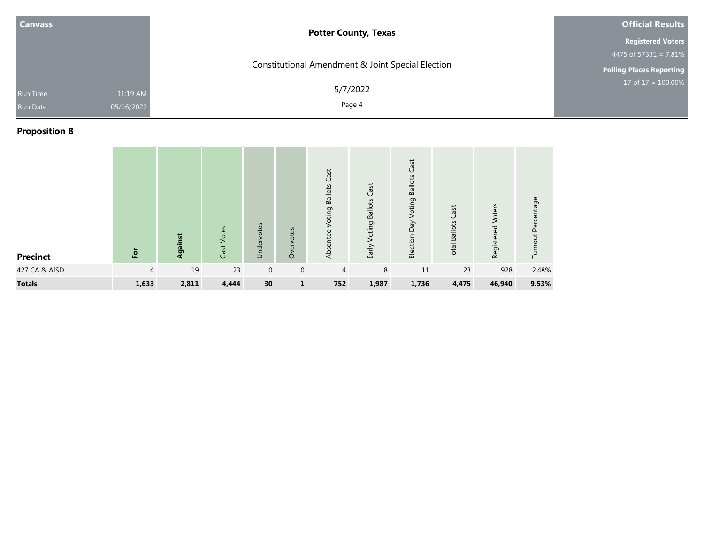| <b>Canvass</b>                                 | <b>Potter County, Texas</b>                       | <b>Official Results</b>             |
|------------------------------------------------|---------------------------------------------------|-------------------------------------|
|                                                |                                                   | <b>Registered Voters</b>            |
|                                                |                                                   | 4475 of $573\overline{31} = 7.81\%$ |
|                                                | Constitutional Amendment & Joint Special Election | <b>Polling Places Reporting</b>     |
| 11:19 AM<br>Run Time<br>05/16/2022<br>Run Date | 5/7/2022<br>Page 4                                | $17 \text{ of } 17 = 100.00\%$      |

# **Proposition B**

| <b>Precinct</b> | For            | Against | Cast Votes | Undervotes  | Overvotes      | Cast<br>Voting Ballots<br>Absentee | <b>Ballots Cast</b><br>Voting<br>Early | Cast<br><b>Ballots</b><br>Voting<br>Veq<br>Election | Cast<br><b>Total Ballots</b> | Voters<br>Registered | Turnout Percentage |
|-----------------|----------------|---------|------------|-------------|----------------|------------------------------------|----------------------------------------|-----------------------------------------------------|------------------------------|----------------------|--------------------|
| 427 CA & AISD   | $\overline{4}$ | 19      | 23         | $\mathbf 0$ | $\overline{0}$ | $\overline{4}$                     | 8                                      | 11                                                  | 23                           | 928                  | 2.48%              |
| <b>Totals</b>   | 1,633          | 2,811   | 4,444      | 30          | $\mathbf{1}$   | 752                                | 1,987                                  | 1,736                                               | 4,475                        | 46,940               | 9.53%              |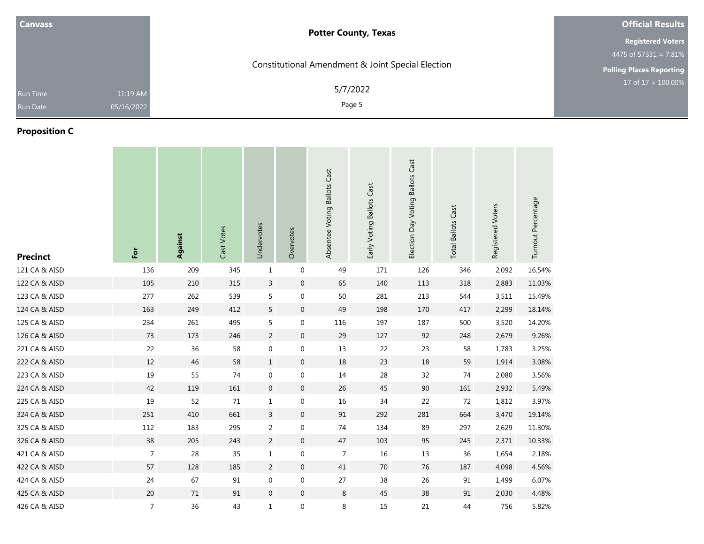| <b>Canvass</b> |            | <b>Potter County, Texas</b>                       | <b>Official Results</b>         |
|----------------|------------|---------------------------------------------------|---------------------------------|
|                |            |                                                   | <b>Registered Voters</b>        |
|                |            |                                                   | 4475 of 57331 = 7.81%           |
|                |            | Constitutional Amendment & Joint Special Election | <b>Polling Places Reporting</b> |
| Run Time       | 11:19 AM   | 5/7/2022                                          | 17 of $17 = 100.00\%$           |
| Run Date       | 05/16/2022 | Page 5                                            |                                 |
|                |            |                                                   |                                 |

## **Proposition C**

| <b>Precinct</b> | For            | Against | Cast Votes | Undervotes       | Overvotes        | Absentee Voting Ballots Cast | Early Voting Ballots Cast | Election Day Voting Ballots Cast | <b>Total Ballots Cast</b> | Registered Voters | Turnout Percentage |
|-----------------|----------------|---------|------------|------------------|------------------|------------------------------|---------------------------|----------------------------------|---------------------------|-------------------|--------------------|
| 121 CA & AISD   | 136            | 209     | 345        | $\mathbf{1}$     | $\mathbf 0$      | 49                           | 171                       | 126                              | 346                       | 2,092             | 16.54%             |
| 122 CA & AISD   | 105            | 210     | 315        | $\mathsf{3}$     | $\boldsymbol{0}$ | 65                           | 140                       | 113                              | 318                       | 2,883             | 11.03%             |
| 123 CA & AISD   | 277            | 262     | 539        | 5                | $\boldsymbol{0}$ | 50                           | 281                       | 213                              | 544                       | 3,511             | 15.49%             |
| 124 CA & AISD   | 163            | 249     | 412        | 5                | $\mathbf 0$      | 49                           | 198                       | 170                              | 417                       | 2,299             | 18.14%             |
| 125 CA & AISD   | 234            | 261     | 495        | 5                | $\boldsymbol{0}$ | 116                          | 197                       | 187                              | 500                       | 3,520             | 14.20%             |
| 126 CA & AISD   | 73             | 173     | 246        | $\overline{2}$   | $\pmb{0}$        | 29                           | 127                       | 92                               | 248                       | 2,679             | 9.26%              |
| 221 CA & AISD   | 22             | 36      | 58         | 0                | 0                | 13                           | 22                        | 23                               | 58                        | 1,783             | 3.25%              |
| 222 CA & AISD   | 12             | 46      | 58         | $\mathbf{1}$     | $\boldsymbol{0}$ | 18                           | 23                        | 18                               | 59                        | 1,914             | 3.08%              |
| 223 CA & AISD   | 19             | 55      | 74         | $\boldsymbol{0}$ | $\boldsymbol{0}$ | 14                           | 28                        | 32                               | 74                        | 2,080             | 3.56%              |
| 224 CA & AISD   | 42             | 119     | 161        | $\mathbf 0$      | $\mathbf 0$      | 26                           | 45                        | 90                               | 161                       | 2,932             | 5.49%              |
| 225 CA & AISD   | 19             | 52      | 71         | $\mathbf{1}$     | $\boldsymbol{0}$ | 16                           | 34                        | 22                               | 72                        | 1,812             | 3.97%              |
| 324 CA & AISD   | 251            | 410     | 661        | $\mathsf{3}$     | $\boldsymbol{0}$ | $\ensuremath{\mathsf{91}}$   | 292                       | 281                              | 664                       | 3,470             | 19.14%             |
| 325 CA & AISD   | 112            | 183     | 295        | $\overline{2}$   | $\boldsymbol{0}$ | 74                           | 134                       | 89                               | 297                       | 2,629             | 11.30%             |
| 326 CA & AISD   | 38             | 205     | 243        | $\overline{2}$   | $\mathbf 0$      | 47                           | 103                       | 95                               | 245                       | 2,371             | 10.33%             |
| 421 CA & AISD   | $\overline{7}$ | 28      | 35         | $\mathbf{1}$     | $\boldsymbol{0}$ | $\overline{7}$               | 16                        | 13                               | 36                        | 1,654             | 2.18%              |
| 422 CA & AISD   | 57             | 128     | 185        | $\overline{2}$   | $\boldsymbol{0}$ | 41                           | 70                        | 76                               | 187                       | 4,098             | 4.56%              |
| 424 CA & AISD   | 24             | 67      | 91         | 0                | $\boldsymbol{0}$ | 27                           | 38                        | 26                               | 91                        | 1,499             | 6.07%              |
| 425 CA & AISD   | 20             | 71      | 91         | $\mathbf 0$      | $\mathbf 0$      | 8                            | 45                        | 38                               | 91                        | 2,030             | 4.48%              |
| 426 CA & AISD   | $\overline{7}$ | 36      | 43         | $\mathbf{1}$     | $\boldsymbol{0}$ | 8                            | 15                        | 21                               | 44                        | 756               | 5.82%              |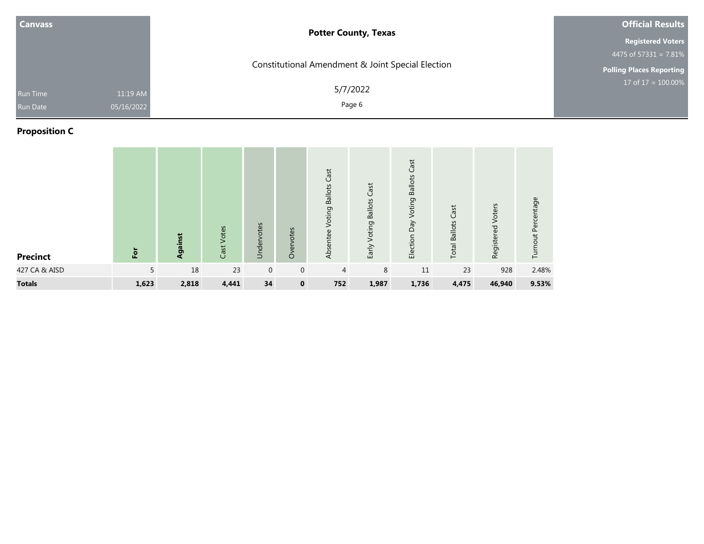| <b>Canvass</b>                                        | <b>Potter County, Texas</b>                       | <b>Official Results</b>             |
|-------------------------------------------------------|---------------------------------------------------|-------------------------------------|
|                                                       |                                                   | <b>Registered Voters</b>            |
|                                                       |                                                   | 4475 of $573\overline{31} = 7.81\%$ |
|                                                       | Constitutional Amendment & Joint Special Election | <b>Polling Places Reporting</b>     |
| 11:19 AM<br><b>Run Time</b><br>05/16/2022<br>Run Date | 5/7/2022<br>Page 6                                | 17 of $17 = 100.00\%$               |

# **Proposition C**

| <b>Precinct</b> | $\overline{5}$ | Against | Cast Votes | Undervotes   | Overvotes   | Cast<br><b>Ballots</b><br>Voting<br>Absentee | <b>Ballots Cast</b><br>Voting<br>Early <sup>-</sup> | Cast<br><b>Ballots</b><br>Voting<br>Day<br>Election | Cast<br><b>Total Ballots</b> | Voters<br>Registered | Turnout Percentage |
|-----------------|----------------|---------|------------|--------------|-------------|----------------------------------------------|-----------------------------------------------------|-----------------------------------------------------|------------------------------|----------------------|--------------------|
| 427 CA & AISD   | 5              | 18      | 23         | $\mathbf{0}$ | $\mathbf 0$ | $\overline{4}$                               | 8                                                   | 11                                                  | 23                           | 928                  | 2.48%              |
| <b>Totals</b>   | 1,623          | 2,818   | 4,441      | 34           | $\mathbf 0$ | 752                                          | 1,987                                               | 1,736                                               | 4,475                        | 46,940               | 9.53%              |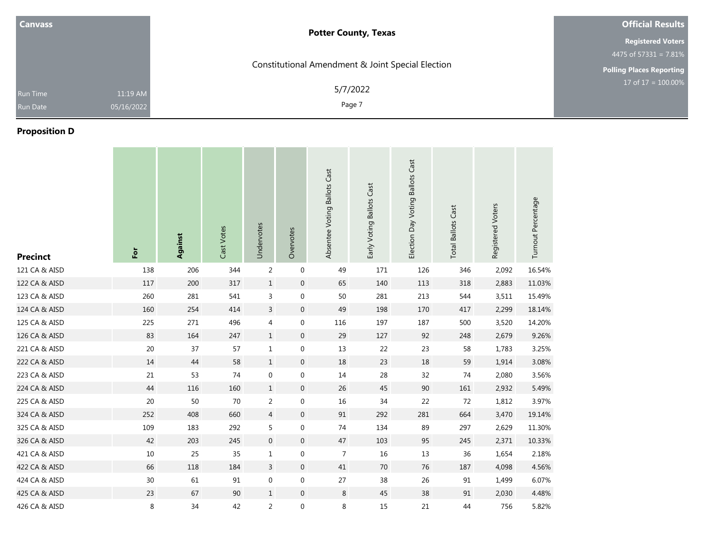| <b>Canvass</b> |            | <b>Potter County, Texas</b>                       | <b>Official Results</b>         |
|----------------|------------|---------------------------------------------------|---------------------------------|
|                |            |                                                   | <b>Registered Voters</b>        |
|                |            |                                                   | 4475 of $57331 = 7.81\%$        |
|                |            | Constitutional Amendment & Joint Special Election | <b>Polling Places Reporting</b> |
| Run Time       | 11:19 AM   | 5/7/2022                                          | 17 of $17 = 100.00\%$           |
| Run Date       | 05/16/2022 | Page 7                                            |                                 |
| _ _ _ _ _      |            |                                                   |                                 |

### **Proposition D**

| <b>Precinct</b> | For    | Against | Cast Votes | Undervotes       | Overvotes        | Absentee Voting Ballots Cast | Early Voting Ballots Cast | Election Day Voting Ballots Cast | <b>Total Ballots Cast</b> | Registered Voters | Turnout Percentage |
|-----------------|--------|---------|------------|------------------|------------------|------------------------------|---------------------------|----------------------------------|---------------------------|-------------------|--------------------|
| 121 CA & AISD   | 138    | 206     | 344        | $\overline{2}$   | $\boldsymbol{0}$ | 49                           | 171                       | 126                              | 346                       | 2,092             | 16.54%             |
| 122 CA & AISD   | 117    | 200     | 317        | $\mathbf{1}$     | $\boldsymbol{0}$ | 65                           | 140                       | 113                              | 318                       | 2,883             | 11.03%             |
| 123 CA & AISD   | 260    | 281     | 541        | 3                | 0                | $50\,$                       | 281                       | 213                              | 544                       | 3,511             | 15.49%             |
| 124 CA & AISD   | 160    | 254     | 414        | $\mathsf{3}$     | $\boldsymbol{0}$ | 49                           | 198                       | 170                              | 417                       | 2,299             | 18.14%             |
| 125 CA & AISD   | 225    | 271     | 496        | 4                | $\boldsymbol{0}$ | 116                          | 197                       | 187                              | 500                       | 3,520             | 14.20%             |
| 126 CA & AISD   | 83     | 164     | 247        | $\mathbf{1}$     | $\boldsymbol{0}$ | 29                           | 127                       | 92                               | 248                       | 2,679             | 9.26%              |
| 221 CA & AISD   | 20     | 37      | 57         | $\mathbf{1}$     | 0                | 13                           | 22                        | 23                               | 58                        | 1,783             | 3.25%              |
| 222 CA & AISD   | 14     | 44      | 58         | $\mathbf{1}$     | $\boldsymbol{0}$ | 18                           | 23                        | 18                               | 59                        | 1,914             | 3.08%              |
| 223 CA & AISD   | 21     | 53      | 74         | $\mathbf 0$      | 0                | 14                           | 28                        | 32                               | 74                        | 2,080             | 3.56%              |
| 224 CA & AISD   | 44     | 116     | 160        | $\mathbf{1}$     | $\mathbf 0$      | 26                           | 45                        | 90                               | 161                       | 2,932             | 5.49%              |
| 225 CA & AISD   | $20\,$ | 50      | 70         | $\overline{c}$   | 0                | $16\,$                       | 34                        | 22                               | 72                        | 1,812             | 3.97%              |
| 324 CA & AISD   | 252    | 408     | 660        | $\overline{4}$   | $\overline{0}$   | 91                           | 292                       | 281                              | 664                       | 3,470             | 19.14%             |
| 325 CA & AISD   | 109    | 183     | 292        | 5                | 0                | 74                           | 134                       | 89                               | 297                       | 2,629             | 11.30%             |
| 326 CA & AISD   | 42     | 203     | 245        | $\boldsymbol{0}$ | $\mathbf 0$      | $47\,$                       | 103                       | 95                               | 245                       | 2,371             | 10.33%             |
| 421 CA & AISD   | 10     | 25      | 35         | $\mathbf 1$      | $\boldsymbol{0}$ | $\overline{7}$               | 16                        | 13                               | 36                        | 1,654             | 2.18%              |
| 422 CA & AISD   | 66     | 118     | 184        | 3                | $\mathbf 0$      | 41                           | 70                        | 76                               | 187                       | 4,098             | 4.56%              |
| 424 CA & AISD   | 30     | 61      | 91         | $\boldsymbol{0}$ | $\boldsymbol{0}$ | 27                           | 38                        | 26                               | 91                        | 1,499             | 6.07%              |
| 425 CA & AISD   | 23     | 67      | 90         | $\mathbf{1}$     | $\boldsymbol{0}$ | 8                            | 45                        | 38                               | 91                        | 2,030             | 4.48%              |
| 426 CA & AISD   | 8      | 34      | 42         | $\overline{2}$   | $\boldsymbol{0}$ | 8                            | 15                        | 21                               | 44                        | 756               | 5.82%              |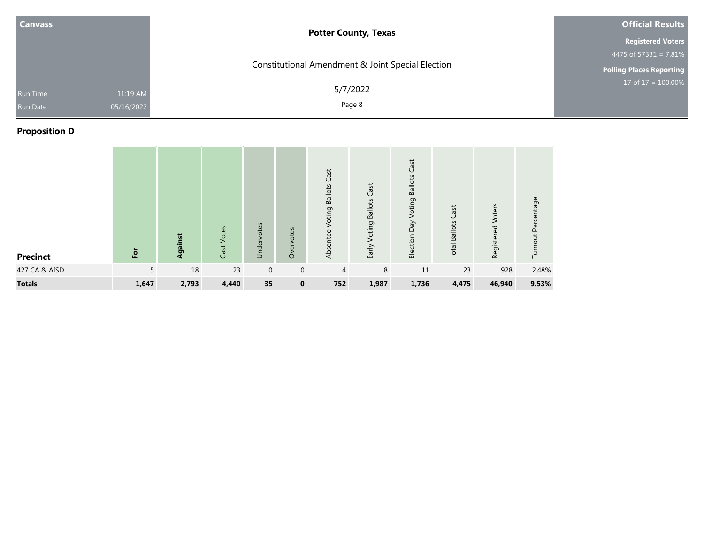| <b>Canvass</b>                                        | <b>Potter County, Texas</b>                       | <b>Official Results</b>         |
|-------------------------------------------------------|---------------------------------------------------|---------------------------------|
|                                                       |                                                   | <b>Registered Voters</b>        |
|                                                       |                                                   | 4475 of $57331 = 7.81\%$        |
|                                                       | Constitutional Amendment & Joint Special Election | <b>Polling Places Reporting</b> |
| 11:19 AM<br>Run Time<br>05/16/2022<br><b>Run Date</b> | 5/7/2022<br>Page 8                                | 17 of $17 = 100.00\%$           |

# **Proposition D**

| <b>Precinct</b> | $\overline{5}$ | Against | Cast Votes | Undervotes   | Overvotes    | Cast<br><b>Ballots</b><br>Voting<br>Absentee | Voting Ballots Cast<br>Early | Cast<br><b>Ballots</b><br>Voting<br>Election Day | Cast<br><b>Total Ballots</b> | Voters<br>Registered | Turnout Percentage |
|-----------------|----------------|---------|------------|--------------|--------------|----------------------------------------------|------------------------------|--------------------------------------------------|------------------------------|----------------------|--------------------|
| 427 CA & AISD   | 5              | 18      | 23         | $\mathbf{0}$ | $\mathbf 0$  | 4                                            | 8                            | 11                                               | 23                           | 928                  | 2.48%              |
| <b>Totals</b>   | 1,647          | 2,793   | 4,440      | 35           | $\mathbf{0}$ | 752                                          | 1,987                        | 1,736                                            | 4,475                        | 46,940               | 9.53%              |